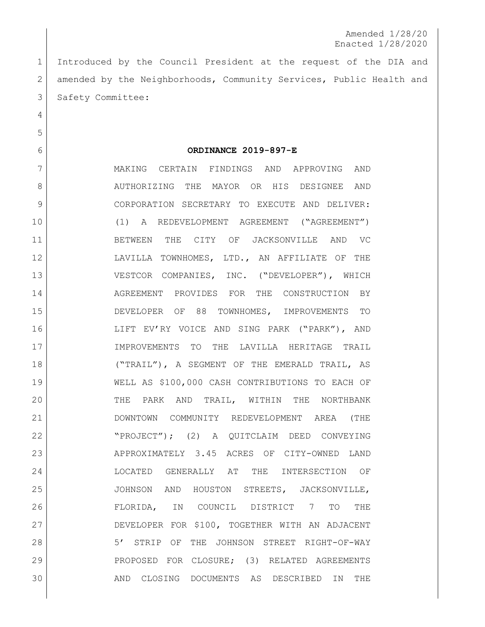Introduced by the Council President at the request of the DIA and 2 amended by the Neighborhoods, Community Services, Public Health and 3 Safety Committee:

**ORDINANCE 2019-897-E**

 MAKING CERTAIN FINDINGS AND APPROVING AND 8 AUTHORIZING THE MAYOR OR HIS DESIGNEE AND 9 CORPORATION SECRETARY TO EXECUTE AND DELIVER: (1) A REDEVELOPMENT AGREEMENT ("AGREEMENT") BETWEEN THE CITY OF JACKSONVILLE AND VC 12 LAVILLA TOWNHOMES, LTD., AN AFFILIATE OF THE VESTCOR COMPANIES, INC. ("DEVELOPER"), WHICH 14 AGREEMENT PROVIDES FOR THE CONSTRUCTION BY DEVELOPER OF 88 TOWNHOMES, IMPROVEMENTS TO LIFT EV'RY VOICE AND SING PARK ("PARK"), AND IMPROVEMENTS TO THE LAVILLA HERITAGE TRAIL ("TRAIL"), A SEGMENT OF THE EMERALD TRAIL, AS WELL AS \$100,000 CASH CONTRIBUTIONS TO EACH OF 20 THE PARK AND TRAIL, WITHIN THE NORTHBANK DOWNTOWN COMMUNITY REDEVELOPMENT AREA (THE "PROJECT"); (2) A QUITCLAIM DEED CONVEYING APPROXIMATELY 3.45 ACRES OF CITY-OWNED LAND LOCATED GENERALLY AT THE INTERSECTION OF JOHNSON AND HOUSTON STREETS, JACKSONVILLE, FLORIDA, IN COUNCIL DISTRICT 7 TO THE DEVELOPER FOR \$100, TOGETHER WITH AN ADJACENT 28 | STRIP OF THE JOHNSON STREET RIGHT-OF-WAY 29 PROPOSED FOR CLOSURE; (3) RELATED AGREEMENTS AND CLOSING DOCUMENTS AS DESCRIBED IN THE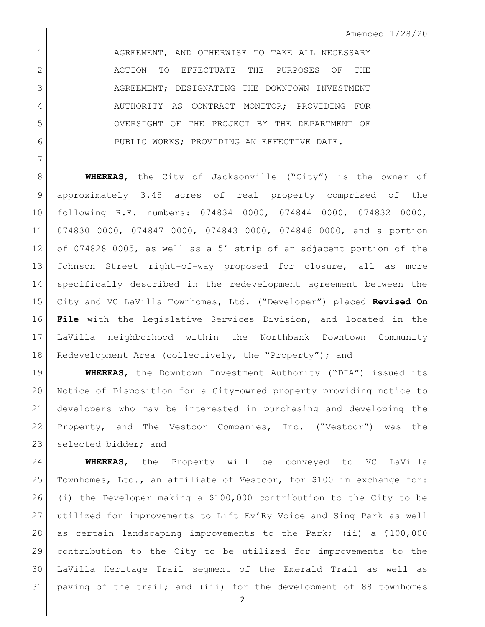1 AGREEMENT, AND OTHERWISE TO TAKE ALL NECESSARY ACTION TO EFFECTUATE THE PURPOSES OF THE 3 AGREEMENT; DESIGNATING THE DOWNTOWN INVESTMENT 4 AUTHORITY AS CONTRACT MONITOR; PROVIDING FOR OVERSIGHT OF THE PROJECT BY THE DEPARTMENT OF PUBLIC WORKS; PROVIDING AN EFFECTIVE DATE.

**WHEREAS**, the City of Jacksonville ("City") is the owner of approximately 3.45 acres of real property comprised of the following R.E. numbers: 074834 0000, 074844 0000, 074832 0000, 074830 0000, 074847 0000, 074843 0000, 074846 0000, and a portion of 074828 0005, as well as a 5' strip of an adjacent portion of the Johnson Street right-of-way proposed for closure, all as more specifically described in the redevelopment agreement between the City and VC LaVilla Townhomes, Ltd. ("Developer") placed **Revised On File** with the Legislative Services Division, and located in the LaVilla neighborhood within the Northbank Downtown Community Redevelopment Area (collectively, the "Property"); and

 **WHEREAS**, the Downtown Investment Authority ("DIA") issued its Notice of Disposition for a City-owned property providing notice to developers who may be interested in purchasing and developing the Property, and The Vestcor Companies, Inc. ("Vestcor") was the 23 selected bidder; and

 **WHEREAS**, the Property will be conveyed to VC LaVilla Townhomes, Ltd., an affiliate of Vestcor, for \$100 in exchange for: (i) the Developer making a \$100,000 contribution to the City to be utilized for improvements to Lift Ev'Ry Voice and Sing Park as well as certain landscaping improvements to the Park; (ii) a \$100,000 contribution to the City to be utilized for improvements to the LaVilla Heritage Trail segment of the Emerald Trail as well as paving of the trail; and (iii) for the development of 88 townhomes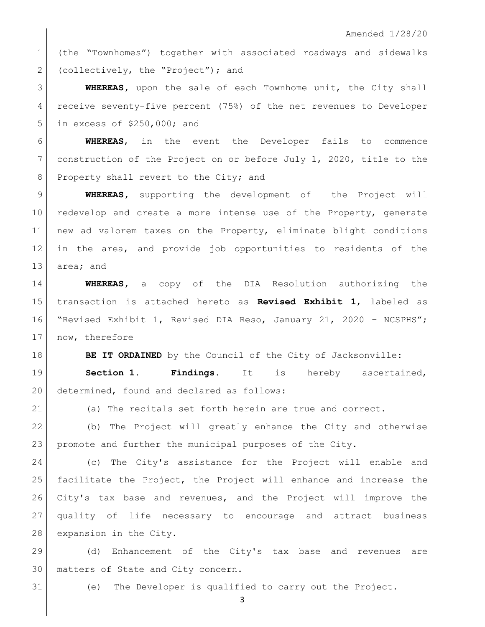(the "Townhomes") together with associated roadways and sidewalks 2 (collectively, the "Project"); and

 **WHEREAS,** upon the sale of each Townhome unit, the City shall receive seventy-five percent (75%) of the net revenues to Developer in excess of \$250,000; and

 **WHEREAS**, in the event the Developer fails to commence construction of the Project on or before July 1, 2020, title to the 8 Property shall revert to the City; and

 **WHEREAS,** supporting the development of the Project will 10 redevelop and create a more intense use of the Property, generate new ad valorem taxes on the Property, eliminate blight conditions in the area, and provide job opportunities to residents of the 13 area; and

 **WHEREAS,** a copy of the DIA Resolution authorizing the transaction is attached hereto as **Revised Exhibit 1**, labeled as "Revised Exhibit 1, Revised DIA Reso, January 21, 2020 – NCSPHS"; 17 | now, therefore

**BE IT ORDAINED** by the Council of the City of Jacksonville:

 **Section 1. Findings.** It is hereby ascertained, 20 determined, found and declared as follows:

(a) The recitals set forth herein are true and correct.

 (b) The Project will greatly enhance the City and otherwise promote and further the municipal purposes of the City.

 (c) The City's assistance for the Project will enable and facilitate the Project, the Project will enhance and increase the City's tax base and revenues, and the Project will improve the quality of life necessary to encourage and attract business 28 expansion in the City.

 (d) Enhancement of the City's tax base and revenues are matters of State and City concern.

(e) The Developer is qualified to carry out the Project.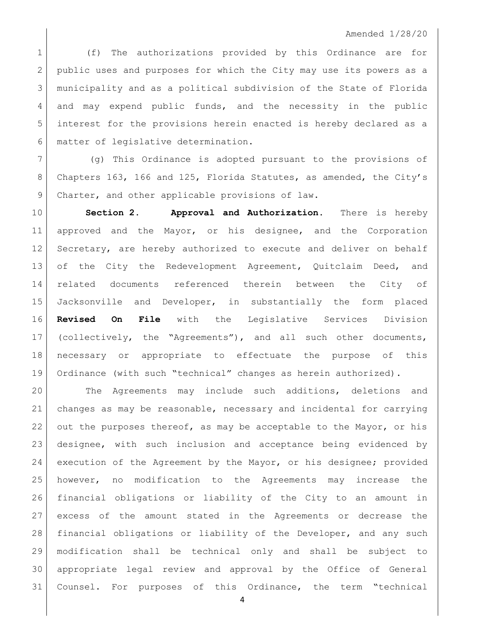## Amended 1/28/20

1 (f) The authorizations provided by this Ordinance are for 2 public uses and purposes for which the City may use its powers as a municipality and as a political subdivision of the State of Florida 4 and may expend public funds, and the necessity in the public interest for the provisions herein enacted is hereby declared as a matter of legislative determination.

 (g) This Ordinance is adopted pursuant to the provisions of Chapters 163, 166 and 125, Florida Statutes, as amended, the City's 9 Charter, and other applicable provisions of law.

 **Section 2. Approval and Authorization.** There is hereby 11 approved and the Mayor, or his designee, and the Corporation Secretary, are hereby authorized to execute and deliver on behalf of the City the Redevelopment Agreement, Quitclaim Deed, and related documents referenced therein between the City of Jacksonville and Developer, in substantially the form placed **Revised On File** with the Legislative Services Division (collectively, the "Agreements"), and all such other documents, necessary or appropriate to effectuate the purpose of this Ordinance (with such "technical" changes as herein authorized).

 The Agreements may include such additions, deletions and changes as may be reasonable, necessary and incidental for carrying 22 out the purposes thereof, as may be acceptable to the Mayor, or his designee, with such inclusion and acceptance being evidenced by execution of the Agreement by the Mayor, or his designee; provided however, no modification to the Agreements may increase the financial obligations or liability of the City to an amount in excess of the amount stated in the Agreements or decrease the financial obligations or liability of the Developer, and any such modification shall be technical only and shall be subject to appropriate legal review and approval by the Office of General Counsel. For purposes of this Ordinance, the term "technical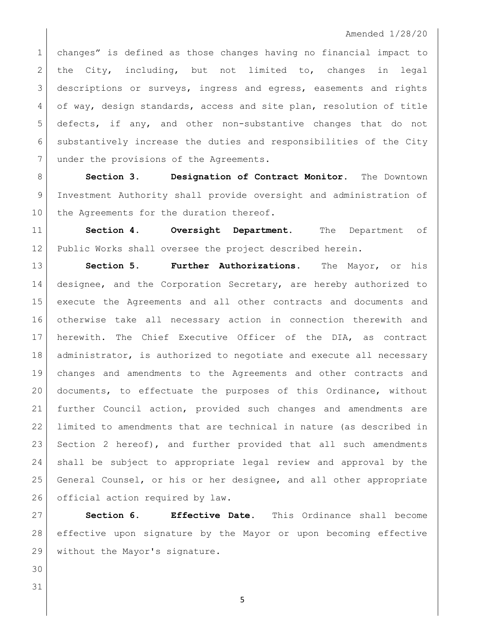## Amended 1/28/20

1 changes" is defined as those changes having no financial impact to 2 the City, including, but not limited to, changes in legal 3 descriptions or surveys, ingress and egress, easements and rights 4 of way, design standards, access and site plan, resolution of title defects, if any, and other non-substantive changes that do not substantively increase the duties and responsibilities of the City 7 under the provisions of the Agreements.

 **Section 3. Designation of Contract Monitor.** The Downtown Investment Authority shall provide oversight and administration of 10 the Agreements for the duration thereof.

 **Section 4. Oversight Department.** The Department of 12 Public Works shall oversee the project described herein.

**Section 5. Further Authorizations.** The Mayor, or his 14 designee, and the Corporation Secretary, are hereby authorized to execute the Agreements and all other contracts and documents and otherwise take all necessary action in connection therewith and herewith. The Chief Executive Officer of the DIA, as contract 18 administrator, is authorized to negotiate and execute all necessary changes and amendments to the Agreements and other contracts and documents, to effectuate the purposes of this Ordinance, without further Council action, provided such changes and amendments are limited to amendments that are technical in nature (as described in 23 Section 2 hereof), and further provided that all such amendments shall be subject to appropriate legal review and approval by the General Counsel, or his or her designee, and all other appropriate 26 official action required by law.

 **Section 6. Effective Date.** This Ordinance shall become effective upon signature by the Mayor or upon becoming effective without the Mayor's signature.